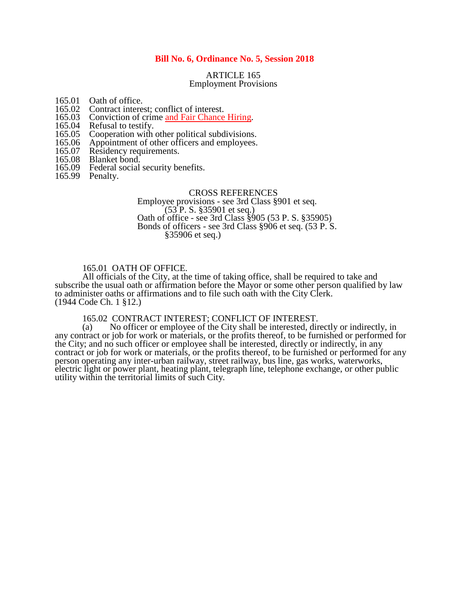# **Bill No. 6, Ordinance No. 5, Session 2018**

# ARTICLE 165 Employment Provisions

- 165.01 Oath of office.<br>165.02 Contract intere
- 165.02 Contract interest; conflict of interest.<br>165.03 Conviction of crime and Fair Chance
- 165.03 Conviction of crime and Fair Chance Hiring.<br>165.04 Refusal to testify.
- 165.04 Refusal to testify.<br>165.05 Cooperation with
- 165.05 Cooperation with other political subdivisions.<br>165.06 Appointment of other officers and employees.
- 165.06 Appointment of other officers and employees.<br>165.07 Residency requirements.
- 165.07 Residency requirements.<br>165.08 Blanket bond.
- 165.08 Blanket bond.<br>165.09 Federal social
- Federal social security benefits.
- 165.99 Penalty.

#### CROSS REFERENCES

Employee provisions - see 3rd Class §901 et seq. (53 P. S. §35901 et seq.) Oath of office - see 3rd Class §905 (53 P. S. §35905) Bonds of officers - see 3rd Class §906 et seq. (53 P. S. §35906 et seq.)

# 165.01 OATH OF OFFICE.

All officials of the City, at the time of taking office, shall be required to take and subscribe the usual oath or affirmation before the Mayor or some other person qualified by law to administer oaths or affirmations and to file such oath with the City Clerk. (1944 Code Ch. 1 §12.)

165.02 CONTRACT INTEREST; CONFLICT OF INTEREST.<br>(a) No officer or employee of the City shall be interested, dir

No officer or employee of the City shall be interested, directly or indirectly, in any contract or job for work or materials, or the profits thereof, to be furnished or performed for the City; and no such officer or employee shall be interested, directly or indirectly, in any contract or job for work or materials, or the profits thereof, to be furnished or performed for any person operating any inter-urban railway, street railway, bus line, gas works, waterworks, electric light or power plant, heating plant, telegraph line, telephone exchange, or other public utility within the territorial limits of such City.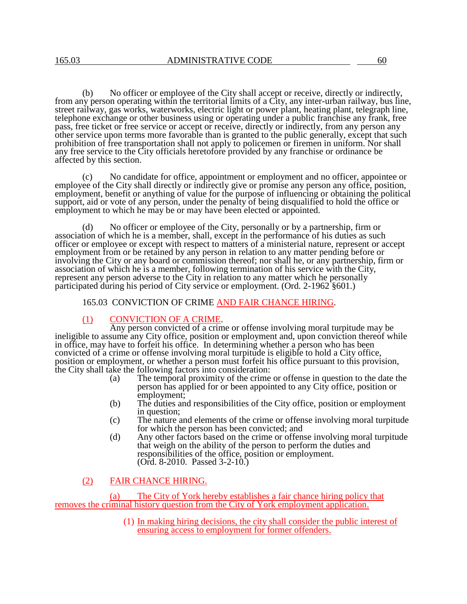(b) No officer or employee of the City shall accept or receive, directly or indirectly, from any person operating within the territorial limits of a City, any inter-urban railway, bus line, street railway, gas works, waterworks, electric light or power plant, heating plant, telegraph line, telephone exchange or other business using or operating under a public franchise any frank, free pass, free ticket or free service or accept or receive, directly or indirectly, from any person any other service upon terms more favorable than is granted to the public generally, except that such prohibition of free transportation shall not apply to policemen or firemen in uniform. Nor shall any free service to the City officials heretofore provided by any franchise or ordinance be affected by this section.

(c) No candidate for office, appointment or employment and no officer, appointee or employee of the City shall directly or indirectly give or promise any person any office, position, employment, benefit or anything of value for the purpose of influencing or obtaining the political support, aid or vote of any person, under the penalty of being disqualified to hold the office or employment to which he may be or may have been elected or appointed.

(d) No officer or employee of the City, personally or by a partnership, firm or association of which he is a member, shall, except in the performance of his duties as such officer or employee or except with respect to matters of a ministerial nature, represent or accept employment from or be retained by any person in relation to any matter pending before or involving the City or any board or commission thereof; nor shall he, or any partnership, firm or association of which he is a member, following termination of his service with the City, represent any person adverse to the City in relation to any matter which he personally participated during his period of City service or employment. (Ord. 2-1962 §601.)

# 165.03 CONVICTION OF CRIME AND FAIR CHANCE HIRING.

# (1) CONVICTION OF A CRIME.

Any person convicted of a crime or offense involving moral turpitude may be ineligible to assume any City office, position or employment and, upon conviction thereof while in office, may have to forfeit his office. In determining whether a person who has been convicted of a crime or offense involving moral turpitude is eligible to hold a City office, position or employment, or whether a person must forfeit his office pursuant to this provision, the City shall take the following factors into consideration:

- (a) The temporal proximity of the crime or offense in question to the date the person has applied for or been appointed to any City office, position or employment;
- (b) The duties and responsibilities of the City office, position or employment in question;
- (c) The nature and elements of the crime or offense involving moral turpitude for which the person has been convicted; and
- (d) Any other factors based on the crime or offense involving moral turpitude that weigh on the ability of the person to perform the duties and responsibilities of the office, position or employment. (Ord. 8-2010. Passed 3-2-10.)

# (2) FAIR CHANCE HIRING.

The City of York hereby establishes a fair chance hiring policy that removes the criminal history question from the City of York employment application.

> (1) In making hiring decisions, the city shall consider the public interest of ensuring access to employment for former offenders.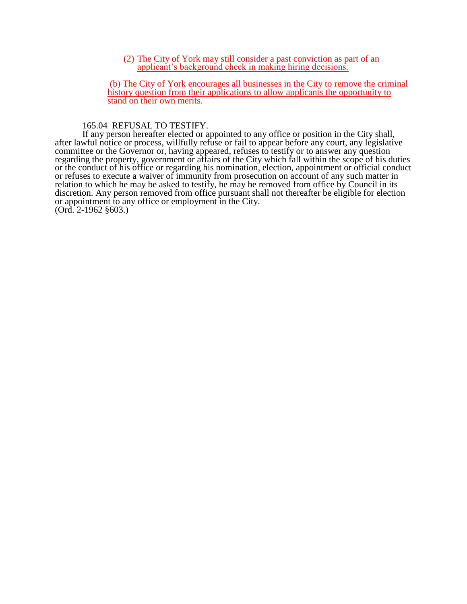(2) The City of York may still consider a past conviction as part of an applicant's background check in making hiring decisions.

(b) The City of York encourages all businesses in the City to remove the criminal history question from their applications to allow applicants the opportunity to stand on their own merits.

165.04 REFUSAL TO TESTIFY.

If any person hereafter elected or appointed to any office or position in the City shall, after lawful notice or process, willfully refuse or fail to appear before any court, any legislative committee or the Governor or, having appeared, refuses to testify or to answer any question regarding the property, government or affairs of the City which fall within the scope of his duties or the conduct of his office or regarding his nomination, election, appointment or official conduct or refuses to execute a waiver of immunity from prosecution on account of any such matter in relation to which he may be asked to testify, he may be removed from office by Council in its discretion. Any person removed from office pursuant shall not thereafter be eligible for election or appointment to any office or employment in the City.

(Ord. 2-1962 §603.)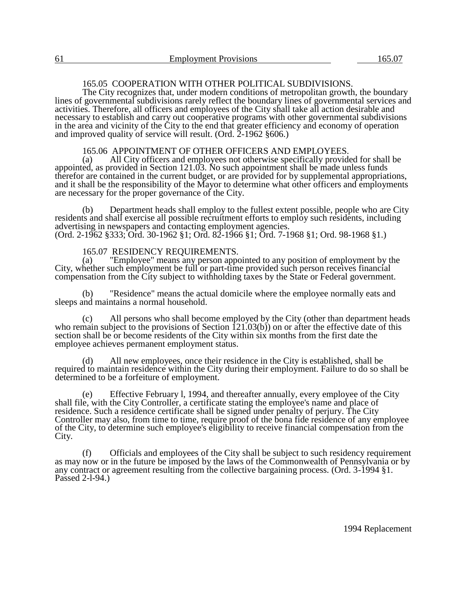The City recognizes that, under modern conditions of metropolitan growth, the boundary lines of governmental subdivisions rarely reflect the boundary lines of governmental services and activities. Therefore, all officers and employees of the City shall take all action desirable and necessary to establish and carry out cooperative programs with other governmental subdivisions in the area and vicinity of the City to the end that greater efficiency and economy of operation and improved quality of service will result. (Ord.  $2-1962$  §606.)

# 165.06 APPOINTMENT OF OTHER OFFICERS AND EMPLOYEES.<br>(a) All City officers and employees not otherwise specifically provide

All City officers and employees not otherwise specifically provided for shall be appointed, as provided in Section 121.03. No such appointment shall be made unless funds therefor are contained in the current budget, or are provided for by supplemental appropriations, and it shall be the responsibility of the Mayor to determine what other officers and employments are necessary for the proper governance of the City.

(b) Department heads shall employ to the fullest extent possible, people who are City residents and shall exercise all possible recruitment efforts to employ such residents, including advertising in newspapers and contacting employment agencies. (Ord. 2-1962 §333; Ord. 30-1962 §1; Ord. 82-1966 §1; Ord. 7-1968 §1; Ord. 98-1968 §1.)

# 165.07 RESIDENCY REQUIREMENTS.<br>(a) "Employee" means any person appo

"Employee" means any person appointed to any position of employment by the City, whether such employment be full or part-time provided such person receives financial compensation from the City subject to withholding taxes by the State or Federal government.

(b) "Residence" means the actual domicile where the employee normally eats and sleeps and maintains a normal household.

(c) All persons who shall become employed by the City (other than department heads who remain subject to the provisions of Section  $(21.03(b))$  on or after the effective date of this section shall be or become residents of the City within six months from the first date the employee achieves permanent employment status.

(d) All new employees, once their residence in the City is established, shall be required to maintain residence within the City during their employment. Failure to do so shall be determined to be a forfeiture of employment.

(e) Effective February l, 1994, and thereafter annually, every employee of the City shall file, with the City Controller, a certificate stating the employee's name and place of residence. Such a residence certificate shall be signed under penalty of perjury. The City Controller may also, from time to time, require proof of the bona fide residence of any employee of the City, to determine such employee's eligibility to receive financial compensation from the City.

(f) Officials and employees of the City shall be subject to such residency requirement as may now or in the future be imposed by the laws of the Commonwealth of Pennsylvania or by any contract or agreement resulting from the collective bargaining process. (Ord. 3-1994 §1. Passed 2-l-94.)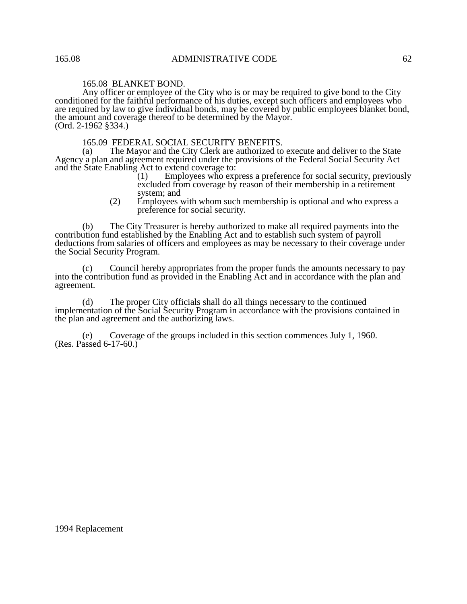# 165.08 BLANKET BOND.

Any officer or employee of the City who is or may be required to give bond to the City conditioned for the faithful performance of his duties, except such officers and employees who are required by law to give individual bonds, may be covered by public employees blanket bond, the amount and coverage thereof to be determined by the Mayor. (Ord. 2-1962 §334.)

165.09 FEDERAL SOCIAL SECURITY BENEFITS.<br>(a) The Mayor and the City Clerk are authorized to

The Mayor and the City Clerk are authorized to execute and deliver to the State Agency a plan and agreement required under the provisions of the Federal Social Security Act and the State Enabling Act to extend coverage to:<br>(1) Employees who exp

Employees who express a preference for social security, previously excluded from coverage by reason of their membership in a retirement system; and

(2) Employees with whom such membership is optional and who express a preference for social security.

(b) The City Treasurer is hereby authorized to make all required payments into the contribution fund established by the Enabling Act and to establish such system of payroll deductions from salaries of officers and employees as may be necessary to their coverage under the Social Security Program.

(c) Council hereby appropriates from the proper funds the amounts necessary to pay into the contribution fund as provided in the Enabling Act and in accordance with the plan and agreement.

(d) The proper City officials shall do all things necessary to the continued implementation of the Social Security Program in accordance with the provisions contained in the plan and agreement and the authorizing laws.

Coverage of the groups included in this section commences July 1, 1960. (Res. Passed 6-17-60.)

1994 Replacement